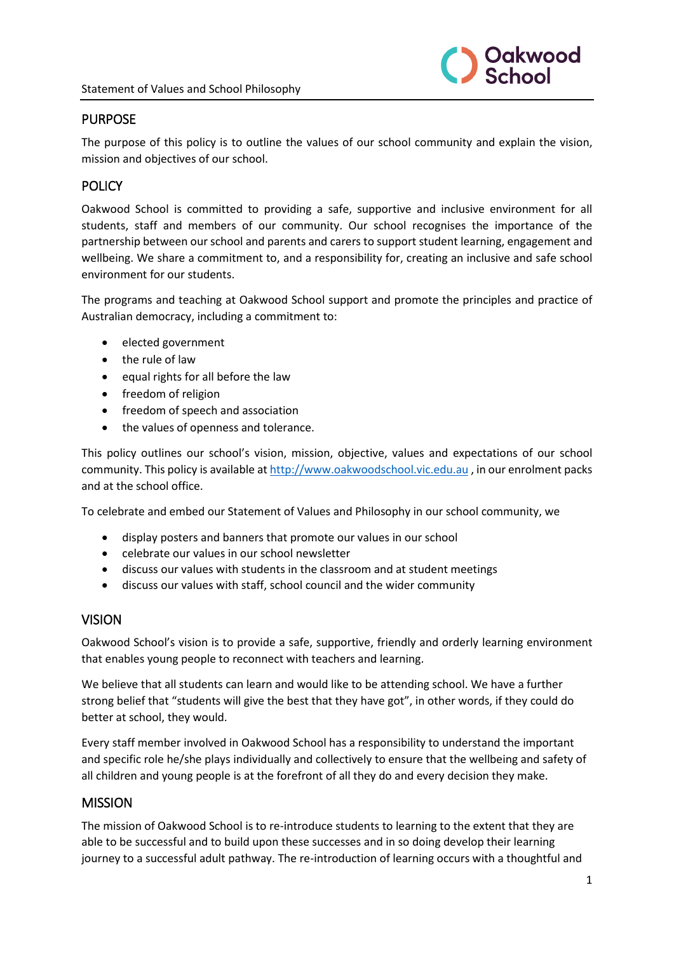

### PURPOSE

The purpose of this policy is to outline the values of our school community and explain the vision, mission and objectives of our school.

### POLICY

Oakwood School is committed to providing a safe, supportive and inclusive environment for all students, staff and members of our community. Our school recognises the importance of the partnership between our school and parents and carers to support student learning, engagement and wellbeing. We share a commitment to, and a responsibility for, creating an inclusive and safe school environment for our students.

The programs and teaching at Oakwood School support and promote the principles and practice of Australian democracy, including a commitment to:

- elected government
- the rule of law
- equal rights for all before the law
- freedom of religion
- freedom of speech and association
- the values of openness and tolerance.

This policy outlines our school's vision, mission, objective, values and expectations of our school community. This policy is available a[t http://www.oakwoodschool.vic.edu.au](http://www.oakwoodschool.vic.edu.au/) , in our enrolment packs and at the school office.

To celebrate and embed our Statement of Values and Philosophy in our school community, we

- display posters and banners that promote our values in our school
- celebrate our values in our school newsletter
- discuss our values with students in the classroom and at student meetings
- discuss our values with staff, school council and the wider community

#### VISION

Oakwood School's vision is to provide a safe, supportive, friendly and orderly learning environment that enables young people to reconnect with teachers and learning.

We believe that all students can learn and would like to be attending school. We have a further strong belief that "students will give the best that they have got", in other words, if they could do better at school, they would.

Every staff member involved in Oakwood School has a responsibility to understand the important and specific role he/she plays individually and collectively to ensure that the wellbeing and safety of all children and young people is at the forefront of all they do and every decision they make.

#### **MISSION**

The mission of Oakwood School is to re-introduce students to learning to the extent that they are able to be successful and to build upon these successes and in so doing develop their learning journey to a successful adult pathway. The re-introduction of learning occurs with a thoughtful and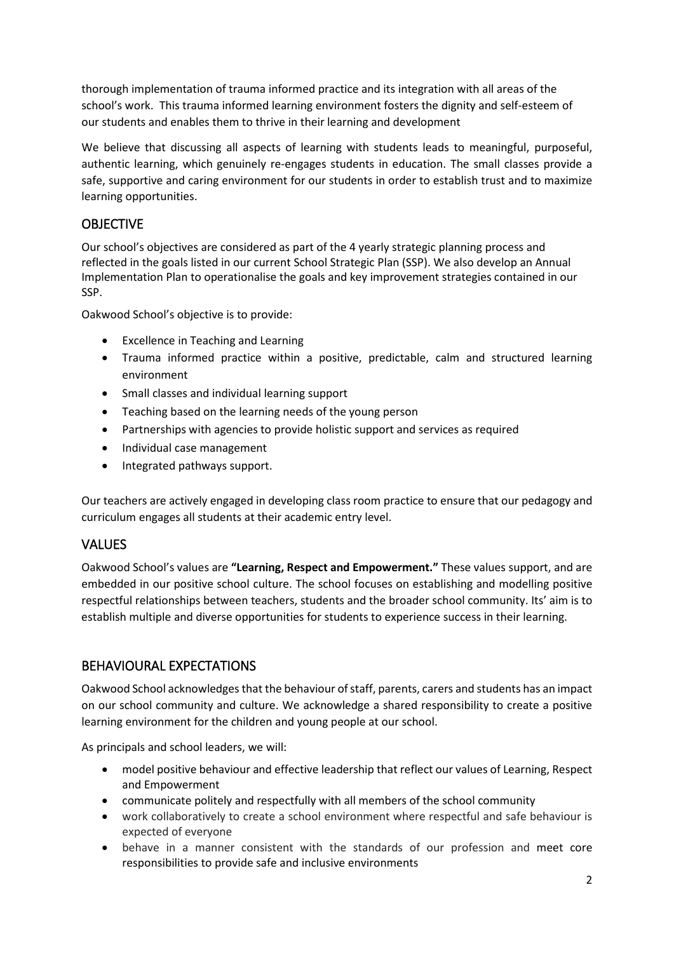thorough implementation of trauma informed practice and its integration with all areas of the school's work. This trauma informed learning environment fosters the dignity and self-esteem of our students and enables them to thrive in their learning and development

We believe that discussing all aspects of learning with students leads to meaningful, purposeful, authentic learning, which genuinely re-engages students in education. The small classes provide a safe, supportive and caring environment for our students in order to establish trust and to maximize learning opportunities.

# **OBJECTIVE**

Our school's objectives are considered as part of the 4 yearly strategic planning process and reflected in the goals listed in our current School Strategic Plan (SSP). We also develop an Annual Implementation Plan to operationalise the goals and key improvement strategies contained in our SSP.

Oakwood School's objective is to provide:

- Excellence in Teaching and Learning
- Trauma informed practice within a positive, predictable, calm and structured learning environment
- Small classes and individual learning support
- Teaching based on the learning needs of the young person
- Partnerships with agencies to provide holistic support and services as required
- Individual case management
- Integrated pathways support.

Our teachers are actively engaged in developing class room practice to ensure that our pedagogy and curriculum engages all students at their academic entry level.

# VALUES

Oakwood School's values are **"Learning, Respect and Empowerment."** These values support, and are embedded in our positive school culture. The school focuses on establishing and modelling positive respectful relationships between teachers, students and the broader school community. Its' aim is to establish multiple and diverse opportunities for students to experience success in their learning.

# BEHAVIOURAL EXPECTATIONS

Oakwood School acknowledges that the behaviour of staff, parents, carers and students has an impact on our school community and culture. We acknowledge a shared responsibility to create a positive learning environment for the children and young people at our school.

As principals and school leaders, we will:

- model positive behaviour and effective leadership that reflect our values of Learning, Respect and Empowerment
- communicate politely and respectfully with all members of the school community
- work collaboratively to create a school environment where respectful and safe behaviour is expected of everyone
- behave in a manner consistent with the standards of our profession and meet core responsibilities to provide safe and inclusive environments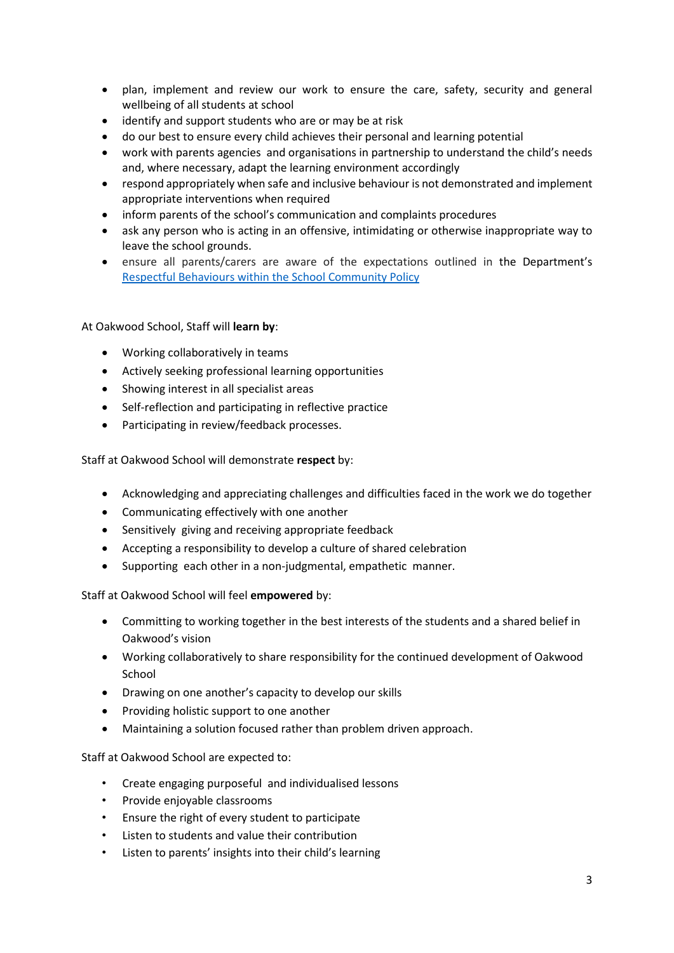- plan, implement and review our work to ensure the care, safety, security and general wellbeing of all students at school
- identify and support students who are or may be at risk
- do our best to ensure every child achieves their personal and learning potential
- work with parents agencies and organisations in partnership to understand the child's needs and, where necessary, adapt the learning environment accordingly
- respond appropriately when safe and inclusive behaviour is not demonstrated and implement appropriate interventions when required
- inform parents of the school's communication and complaints procedures
- ask any person who is acting in an offensive, intimidating or otherwise inappropriate way to leave the school grounds.
- ensure all parents/carers are aware of the expectations outlined in the Department's [Respectful Behaviours within the School Community Policy](https://www.education.vic.gov.au/Pages/Respectful-Behaviours-within-the-School-Community-Policy.aspx)

At Oakwood School, Staff will **learn by**:

- Working collaboratively in teams
- Actively seeking professional learning opportunities
- Showing interest in all specialist areas
- Self-reflection and participating in reflective practice
- Participating in review/feedback processes.

Staff at Oakwood School will demonstrate **respect** by:

- Acknowledging and appreciating challenges and difficulties faced in the work we do together
- Communicating effectively with one another
- Sensitively giving and receiving appropriate feedback
- Accepting a responsibility to develop a culture of shared celebration
- Supporting each other in a non-judgmental, empathetic manner.

Staff at Oakwood School will feel **empowered** by:

- Committing to working together in the best interests of the students and a shared belief in Oakwood's vision
- Working collaboratively to share responsibility for the continued development of Oakwood School
- Drawing on one another's capacity to develop our skills
- Providing holistic support to one another
- Maintaining a solution focused rather than problem driven approach.

Staff at Oakwood School are expected to:

- Create engaging purposeful and individualised lessons
- Provide enjoyable classrooms
- Ensure the right of every student to participate
- Listen to students and value their contribution
- Listen to parents' insights into their child's learning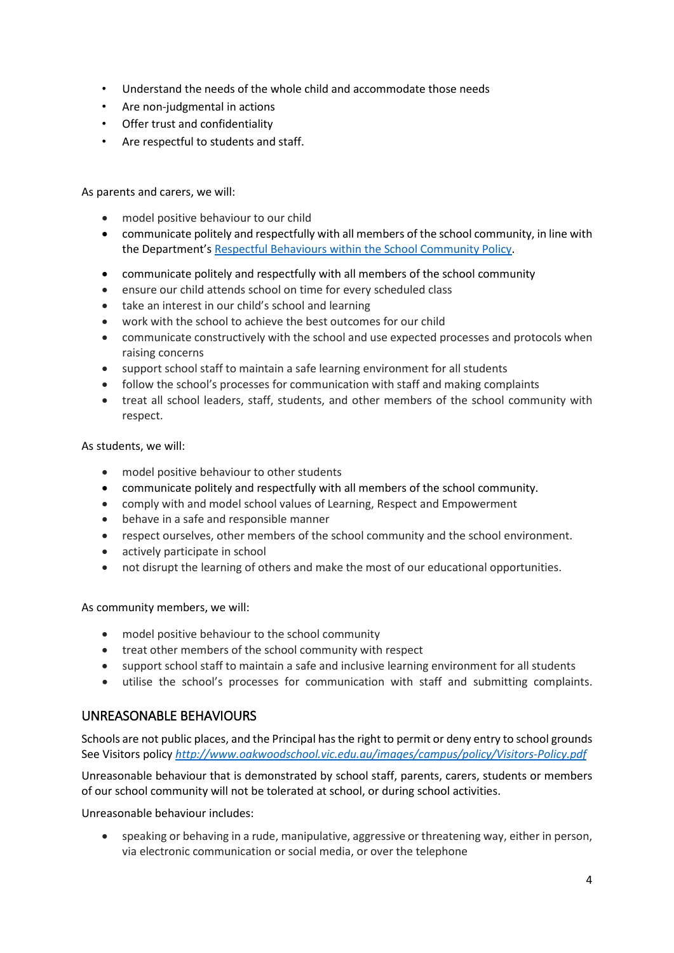- Understand the needs of the whole child and accommodate those needs
- Are non-judgmental in actions
- Offer trust and confidentiality
- Are respectful to students and staff.

As parents and carers, we will:

- model positive behaviour to our child
- communicate politely and respectfully with all members of the school community, in line with the Department'[s Respectful Behaviours within the School Community Policy.](https://www.education.vic.gov.au/Pages/Respectful-Behaviours-within-the-School-Community-Policy.aspx)
- communicate politely and respectfully with all members of the school community
- ensure our child attends school on time for every scheduled class
- take an interest in our child's school and learning
- work with the school to achieve the best outcomes for our child
- communicate constructively with the school and use expected processes and protocols when raising concerns
- support school staff to maintain a safe learning environment for all students
- follow the school's processes for communication with staff and making complaints
- treat all school leaders, staff, students, and other members of the school community with respect.

As students, we will:

- model positive behaviour to other students
- communicate politely and respectfully with all members of the school community.
- comply with and model school values of Learning, Respect and Empowerment
- behave in a safe and responsible manner
- respect ourselves, other members of the school community and the school environment.
- actively participate in school
- not disrupt the learning of others and make the most of our educational opportunities.

As community members, we will:

- model positive behaviour to the school community
- treat other members of the school community with respect
- support school staff to maintain a safe and inclusive learning environment for all students
- utilise the school's processes for communication with staff and submitting complaints.

# UNREASONABLE BEHAVIOURS

Schools are not public places, and the Principal has the right to permit or deny entry to school grounds See Visitors policy *<http://www.oakwoodschool.vic.edu.au/images/campus/policy/Visitors-Policy.pdf>*

Unreasonable behaviour that is demonstrated by school staff, parents, carers, students or members of our school community will not be tolerated at school, or during school activities.

Unreasonable behaviour includes:

• speaking or behaving in a rude, manipulative, aggressive or threatening way, either in person, via electronic communication or social media, or over the telephone